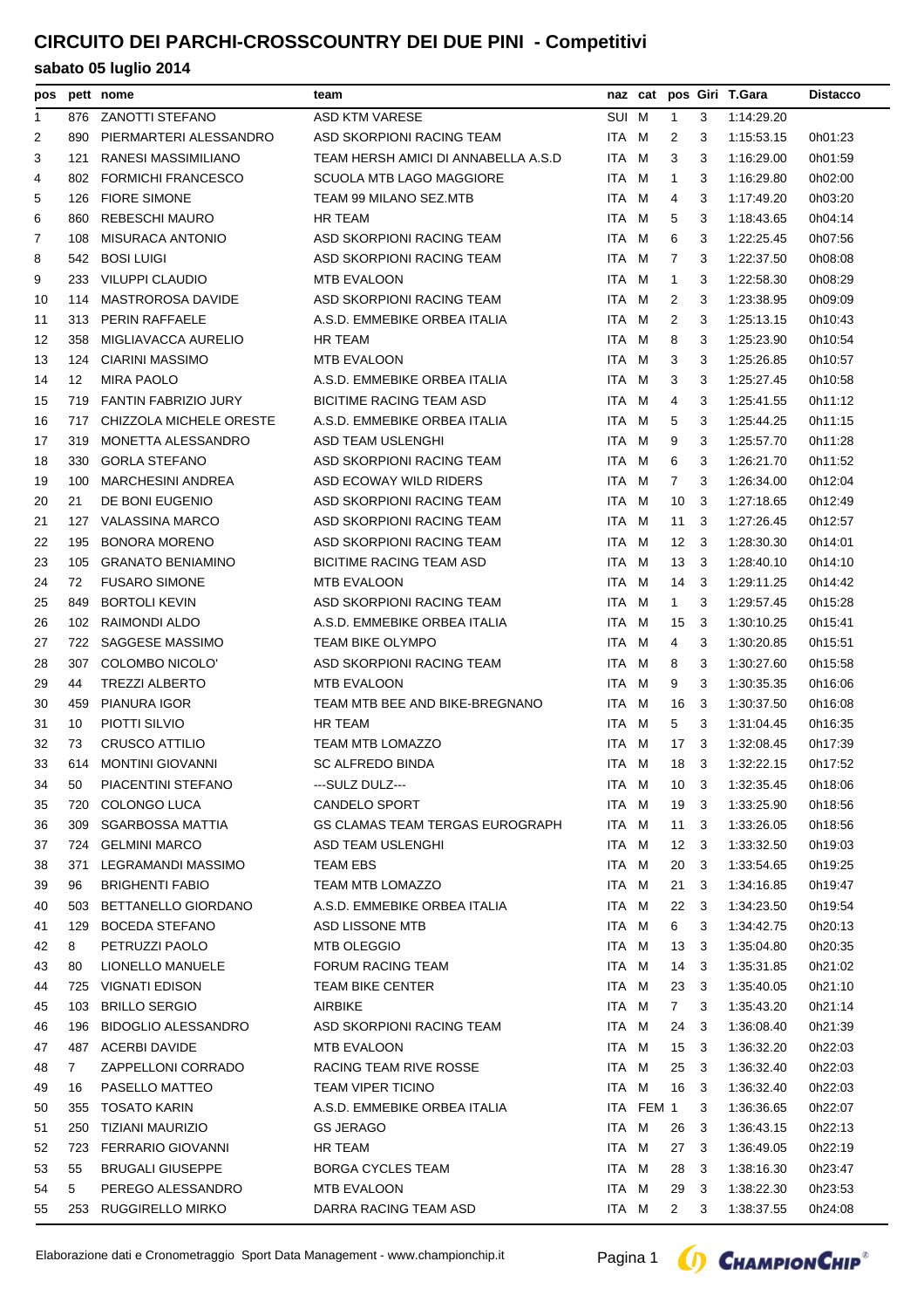## **CIRCUITO DEI PARCHI-CROSSCOUNTRY DEI DUE PINI - Competitivi**

| pos          |     | pett nome                  | team                                |       |           |                |     | naz cat pos Giri T.Gara | <b>Distacco</b> |
|--------------|-----|----------------------------|-------------------------------------|-------|-----------|----------------|-----|-------------------------|-----------------|
| $\mathbf{1}$ | 876 | ZANOTTI STEFANO            | ASD KTM VARESE                      | SUI M |           | $\mathbf{1}$   | 3   | 1:14:29.20              |                 |
| 2            | 890 | PIERMARTERI ALESSANDRO     | ASD SKORPIONI RACING TEAM           | ITA M |           | 2              | 3   | 1:15:53.15              | 0h01:23         |
| 3            | 121 | RANESI MASSIMILIANO        | TEAM HERSH AMICI DI ANNABELLA A.S.D | ITA M |           | 3              | 3   | 1:16:29.00              | 0h01:59         |
| 4            |     | 802 FORMICHI FRANCESCO     | <b>SCUOLA MTB LAGO MAGGIORE</b>     | ITA M |           | $\mathbf{1}$   | 3   | 1:16:29.80              | 0h02:00         |
| 5            | 126 | <b>FIORE SIMONE</b>        | TEAM 99 MILANO SEZ.MTB              | ITA M |           | 4              | 3   | 1:17:49.20              | 0h03:20         |
| 6            | 860 | <b>REBESCHI MAURO</b>      | HR TEAM                             | ITA M |           | 5              | 3   | 1:18:43.65              | 0h04:14         |
| 7            | 108 | <b>MISURACA ANTONIO</b>    | ASD SKORPIONI RACING TEAM           | ITA M |           | 6              | 3   | 1:22:25.45              | 0h07:56         |
| 8            |     | 542 BOSI LUIGI             | ASD SKORPIONI RACING TEAM           | ITA M |           | 7              | 3   | 1.22:37.50              | 0h08:08         |
| 9            | 233 | <b>VILUPPI CLAUDIO</b>     | <b>MTB EVALOON</b>                  | ITA M |           | $\mathbf{1}$   | 3   | 1:22:58.30              | 0h08:29         |
| 10           | 114 | MASTROROSA DAVIDE          | ASD SKORPIONI RACING TEAM           | ITA M |           | 2              | 3   | 1:23:38.95              | 0h09:09         |
| 11           |     | 313 PERIN RAFFAELE         | A.S.D. EMMEBIKE ORBEA ITALIA        | ITA M |           | 2              | 3   | 1:25:13.15              | 0h10:43         |
| 12           | 358 | MIGLIAVACCA AURELIO        | <b>HR TEAM</b>                      | ITA M |           | 8              | 3   | 1:25:23.90              | 0h10:54         |
| 13           |     | 124 CIARINI MASSIMO        | <b>MTB EVALOON</b>                  | ITA M |           | 3              | 3   | 1:25:26.85              | 0h10:57         |
| 14           | 12  | <b>MIRA PAOLO</b>          | A.S.D. EMMEBIKE ORBEA ITALIA        | ITA M |           | 3              | 3   | 1:25:27.45              | 0h10:58         |
| 15           | 719 | FANTIN FABRIZIO JURY       | <b>BICITIME RACING TEAM ASD</b>     | ITA M |           | 4              | 3   | 1:25:41.55              | 0h11:12         |
| 16           | 717 | CHIZZOLA MICHELE ORESTE    | A.S.D. EMMEBIKE ORBEA ITALIA        | ITA M |           | 5              | 3   | 1:25:44.25              | 0h11:15         |
| 17           | 319 | MONETTA ALESSANDRO         | ASD TEAM USLENGHI                   | ITA M |           | 9              | 3   | 1:25:57.70              | 0h11:28         |
| 18           | 330 | <b>GORLA STEFANO</b>       | ASD SKORPIONI RACING TEAM           | ITA M |           | 6              | 3   | 1:26:21.70              | 0h11:52         |
| 19           | 100 | <b>MARCHESINI ANDREA</b>   | ASD ECOWAY WILD RIDERS              | ITA M |           | 7              | 3   | 1:26:34.00              | 0h12:04         |
| 20           | 21  | DE BONI EUGENIO            | ASD SKORPIONI RACING TEAM           | ITA M |           | 10             | -3  | 1:27:18.65              | 0h12:49         |
| 21           |     | 127 VALASSINA MARCO        | ASD SKORPIONI RACING TEAM           | ITA M |           | 11             | -3  | 1.27:26.45              | 0h12:57         |
| 22           | 195 | <b>BONORA MORENO</b>       | ASD SKORPIONI RACING TEAM           | ITA M |           | 12             | -3  | 1:28:30.30              | 0h14:01         |
| 23           | 105 | <b>GRANATO BENIAMINO</b>   | <b>BICITIME RACING TEAM ASD</b>     | ITA M |           | 13             | -3  | 1:28:40.10              | 0h14:10         |
| 24           | 72  | <b>FUSARO SIMONE</b>       | <b>MTB EVALOON</b>                  | ITA M |           | 14             | - 3 | 1:29:11.25              | 0h14:42         |
| 25           | 849 | <b>BORTOLI KEVIN</b>       | ASD SKORPIONI RACING TEAM           | ITA M |           | 1              | 3   | 1:29:57.45              | 0h15:28         |
| 26           | 102 | RAIMONDI ALDO              | A.S.D. EMMEBIKE ORBEA ITALIA        | ITA M |           | 15             | -3  | 1:30:10.25              | 0h15:41         |
| 27           |     | 722 SAGGESE MASSIMO        | TEAM BIKE OLYMPO                    | ITA M |           | 4              | 3   | 1:30:20.85              | 0h15:51         |
| 28           | 307 | COLOMBO NICOLO'            | ASD SKORPIONI RACING TEAM           | ITA M |           | 8              | 3   | 1:30:27.60              | 0h15:58         |
| 29           | 44  | <b>TREZZI ALBERTO</b>      | <b>MTB EVALOON</b>                  | ITA M |           | 9              | 3   | 1:30:35.35              | 0h16:06         |
| 30           | 459 | <b>PIANURA IGOR</b>        | TEAM MTB BEE AND BIKE-BREGNANO      | ITA M |           | 16             | -3  | 1:30:37.50              | 0h16:08         |
| 31           | 10  | PIOTTI SILVIO              | <b>HR TEAM</b>                      | ITA M |           | 5              | 3   | 1:31:04.45              | 0h16:35         |
| 32           | 73  | <b>CRUSCO ATTILIO</b>      | <b>TEAM MTB LOMAZZO</b>             | ITA M |           | 17             | - 3 | 1:32:08.45              | 0h17:39         |
| 33           |     | 614 MONTINI GIOVANNI       | <b>SC ALFREDO BINDA</b>             | ITA M |           | 18             | - 3 | 1:32:22.15              | 0h17:52         |
| 34           | 50  | PIACENTINI STEFANO         | ---SULZ DULZ---                     | ITA M |           | 10             | 3   | 1:32:35.45              | 0h18:06         |
| 35           | 720 | COLONGO LUCA               | CANDELO SPORT                       | ITA M |           | 19             | -3  | 1:33:25.90              | 0h18:56         |
| 36           | 309 | <b>SGARBOSSA MATTIA</b>    | GS CLAMAS TEAM TERGAS EUROGRAPH     | ITA M |           | 11             | 3   | 1:33:26.05              | 0h18:56         |
| 37           | 724 | <b>GELMINI MARCO</b>       | ASD TEAM USLENGHI                   | ITA M |           | 12             | -3  | 1:33:32.50              | 0h19:03         |
| 38           | 371 | LEGRAMANDI MASSIMO         | TEAM EBS                            | ITA M |           | 20             | -3  | 1:33:54.65              | 0h19:25         |
| 39           | 96  | <b>BRIGHENTI FABIO</b>     | <b>TEAM MTB LOMAZZO</b>             | ITA M |           | 21             | -3  | 1:34:16.85              | 0h19:47         |
| 40           | 503 | BETTANELLO GIORDANO        | A.S.D. EMMEBIKE ORBEA ITALIA        | ITA M |           | 22             | -3  | 1:34:23.50              | 0h19:54         |
| 41           | 129 | <b>BOCEDA STEFANO</b>      | ASD LISSONE MTB                     | ITA M |           | 6              | 3   | 1:34:42.75              | 0h20:13         |
| 42           | 8   | PETRUZZI PAOLO             | <b>MTB OLEGGIO</b>                  | ITA M |           | 13             | - 3 | 1:35:04.80              | 0h20:35         |
| 43           | 80  | LIONELLO MANUELE           | <b>FORUM RACING TEAM</b>            | ITA M |           | 14             | -3  | 1:35:31.85              | 0h21:02         |
| 44           | 725 | VIGNATI EDISON             | <b>TEAM BIKE CENTER</b>             | ITA M |           | 23             | -3  | 1:35:40.05              | 0h21:10         |
| 45           | 103 | <b>BRILLO SERGIO</b>       | AIRBIKE                             | ITA M |           | $\overline{7}$ | 3   | 1:35:43.20              | 0h21:14         |
| 46           | 196 | <b>BIDOGLIO ALESSANDRO</b> | ASD SKORPIONI RACING TEAM           | ITA M |           | 24             | -3  | 1:36:08.40              | 0h21:39         |
| 47           |     | 487 ACERBI DAVIDE          | MTB EVALOON                         | ITA M |           | 15             | -3  | 1:36:32.20              | 0h22:03         |
| 48           | 7   | ZAPPELLONI CORRADO         | RACING TEAM RIVE ROSSE              | ITA M |           | 25             | -3  | 1:36:32.40              | 0h22:03         |
| 49           | 16  | PASELLO MATTEO             | <b>TEAM VIPER TICINO</b>            | ITA M |           | 16             | -3  | 1:36:32.40              | 0h22:03         |
| 50           | 355 | <b>TOSATO KARIN</b>        | A.S.D. EMMEBIKE ORBEA ITALIA        |       | ITA FEM 1 |                | 3   | 1:36:36.65              | 0h22:07         |
| 51           | 250 | TIZIANI MAURIZIO           | <b>GS JERAGO</b>                    | ITA M |           | 26             | -3  | 1:36:43.15              | 0h22:13         |
| 52           | 723 | FERRARIO GIOVANNI          | <b>HR TEAM</b>                      | ITA M |           | 27             | -3  | 1:36:49.05              | 0h22:19         |
| 53           | 55  | <b>BRUGALI GIUSEPPE</b>    | <b>BORGA CYCLES TEAM</b>            | ITA M |           | 28             | -3  | 1:38:16.30              | 0h23:47         |
| 54           | 5   | PEREGO ALESSANDRO          | MTB EVALOON                         | ITA M |           | 29             | -3  | 1:38:22.30              | 0h23:53         |
| 55           |     | 253 RUGGIRELLO MIRKO       | DARRA RACING TEAM ASD               | ITA M |           | $\overline{2}$ | 3   | 1:38:37.55              | 0h24:08         |
|              |     |                            |                                     |       |           |                |     |                         |                 |



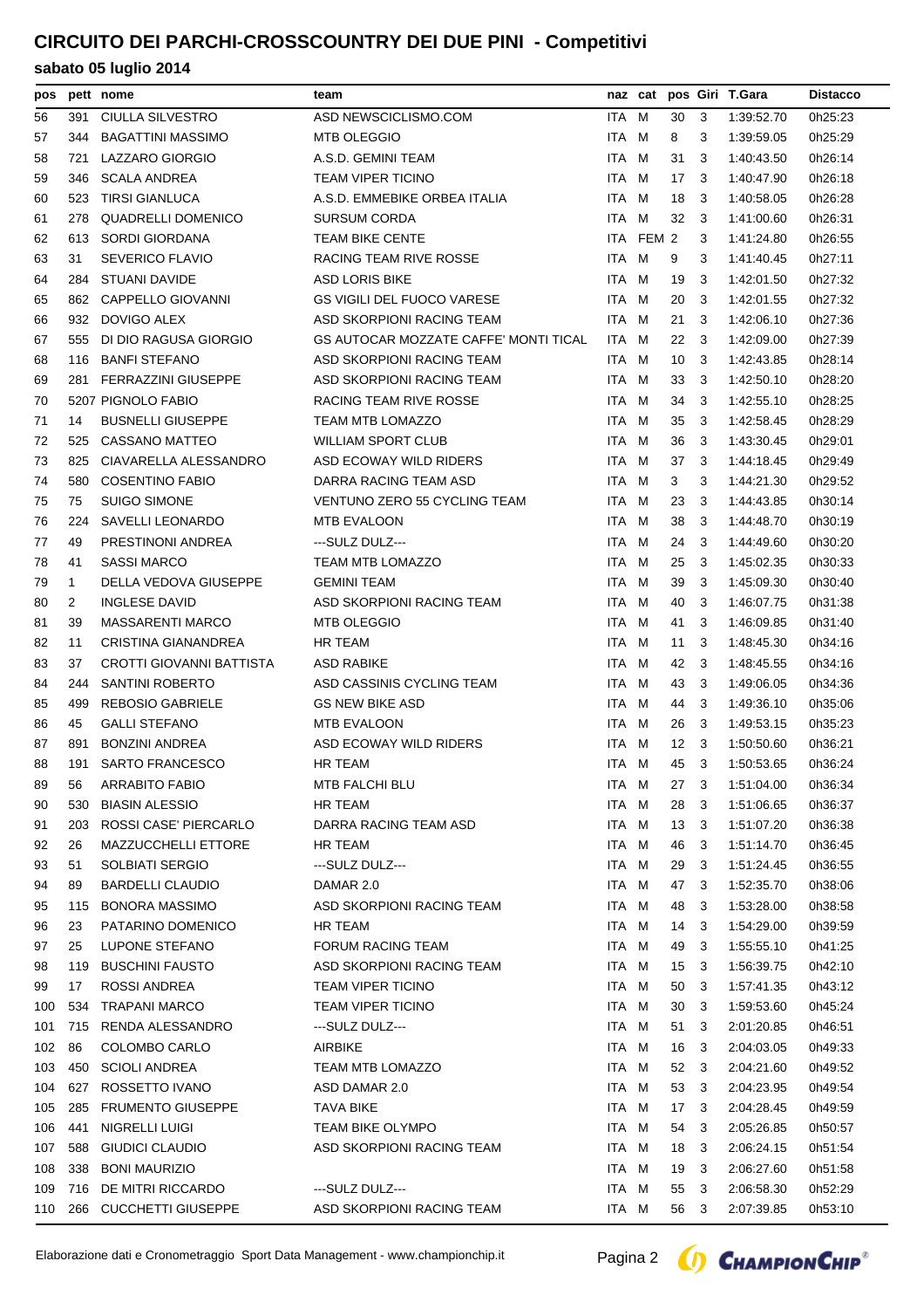## **CIRCUITO DEI PARCHI-CROSSCOUNTRY DEI DUE PINI - Competitivi**

| pos |              | pett nome                  | team                                         |       |           |      |     | naz cat pos Giri T.Gara | <b>Distacco</b> |
|-----|--------------|----------------------------|----------------------------------------------|-------|-----------|------|-----|-------------------------|-----------------|
| 56  | 391          | CIULLA SILVESTRO           | ASD NEWSCICLISMO.COM                         | ITA M |           | 30   | -3  | 1:39:52.70              | 0h25:23         |
| 57  | 344          | <b>BAGATTINI MASSIMO</b>   | <b>MTB OLEGGIO</b>                           | ITA M |           | 8    | 3   | 1:39:59.05              | 0h25:29         |
| 58  | 721          | LAZZARO GIORGIO            | A.S.D. GEMINI TEAM                           | ITA M |           | 31   | 3   | 1:40:43.50              | 0h26:14         |
| 59  | 346          | SCALA ANDREA               | <b>TEAM VIPER TICINO</b>                     | ITA M |           | 17   | -3  | 1:40:47.90              | 0h26:18         |
| 60  | 523          | <b>TIRSI GIANLUCA</b>      | A.S.D. EMMEBIKE ORBEA ITALIA                 | ITA M |           | 18   | -3  | 1:40:58.05              | 0h26:28         |
| 61  | 278          | <b>QUADRELLI DOMENICO</b>  | <b>SURSUM CORDA</b>                          | ITA M |           | 32   | 3   | 1:41:00.60              | 0h26:31         |
| 62  | 613          | SORDI GIORDANA             | <b>TEAM BIKE CENTE</b>                       |       | ITA FEM 2 |      | 3   | 1:41:24.80              | 0h26:55         |
| 63  | 31           | <b>SEVERICO FLAVIO</b>     | RACING TEAM RIVE ROSSE                       | ITA M |           | 9    | 3   | 1:41:40.45              | 0h27:11         |
| 64  | 284          | STUANI DAVIDE              | <b>ASD LORIS BIKE</b>                        | ITA M |           | 19   | 3   | 1:42:01.50              | 0h27:32         |
| 65  |              | 862 CAPPELLO GIOVANNI      | <b>GS VIGILI DEL FUOCO VARESE</b>            | ITA M |           | 20   | -3  | 1:42:01.55              | 0h27:32         |
| 66  | 932          | DOVIGO ALEX                | ASD SKORPIONI RACING TEAM                    | ITA M |           | 21   | -3  | 1:42:06.10              | 0h27:36         |
| 67  | 555          | DI DIO RAGUSA GIORGIO      | <b>GS AUTOCAR MOZZATE CAFFE' MONTI TICAL</b> | ITA M |           | 22   | -3  | 1:42:09.00              | 0h27:39         |
| 68  | 116          | <b>BANFI STEFANO</b>       | ASD SKORPIONI RACING TEAM                    | ITA M |           | 10   | -3  | 1:42:43.85              | 0h28:14         |
| 69  | 281          | <b>FERRAZZINI GIUSEPPE</b> | ASD SKORPIONI RACING TEAM                    | ITA M |           | 33   | 3   | 1:42:50.10              | 0h28:20         |
| 70  |              | 5207 PIGNOLO FABIO         | RACING TEAM RIVE ROSSE                       | ITA M |           | 34   | 3   | 1:42:55.10              | 0h28:25         |
| 71  | 14           | <b>BUSNELLI GIUSEPPE</b>   | <b>TEAM MTB LOMAZZO</b>                      | ITA M |           | 35   | -3  | 1:42:58.45              | 0h28:29         |
| 72  | 525          | CASSANO MATTEO             | <b>WILLIAM SPORT CLUB</b>                    | ITA M |           | 36   | 3   | 1:43:30.45              | 0h29:01         |
| 73  | 825          | CIAVARELLA ALESSANDRO      | ASD ECOWAY WILD RIDERS                       | ITA M |           | 37   | 3   | 1:44:18.45              | 0h29:49         |
| 74  | 580          | <b>COSENTINO FABIO</b>     | DARRA RACING TEAM ASD                        | ITA M |           | 3    | 3   | 1:44:21.30              | 0h29:52         |
| 75  | 75           | <b>SUIGO SIMONE</b>        | <b>VENTUNO ZERO 55 CYCLING TEAM</b>          | ITA M |           | 23   | -3  | 1:44:43.85              | 0h30:14         |
| 76  | 224          | <b>SAVELLI LEONARDO</b>    | <b>MTB EVALOON</b>                           | ITA M |           | 38   | -3  | 1:44:48.70              | 0h30:19         |
| 77  | 49           | PRESTINONI ANDREA          | ---SULZ DULZ---                              | ITA M |           | 24   | -3  | 1:44:49.60              | 0h30:20         |
| 78  | 41           | <b>SASSI MARCO</b>         | <b>TEAM MTB LOMAZZO</b>                      | ITA M |           | 25   | -3  | 1:45:02.35              | 0h30:33         |
| 79  | $\mathbf{1}$ | DELLA VEDOVA GIUSEPPE      | <b>GEMINI TEAM</b>                           | ITA M |           | 39   | -3  | 1:45:09.30              | 0h30:40         |
| 80  | 2            | <b>INGLESE DAVID</b>       | ASD SKORPIONI RACING TEAM                    | ITA M |           | 40   | -3  | 1:46:07.75              | 0h31:38         |
| 81  | 39           | <b>MASSARENTI MARCO</b>    | <b>MTB OLEGGIO</b>                           | ITA M |           | 41   | 3   | 1:46:09.85              | 0h31:40         |
| 82  | 11           | CRISTINA GIANANDREA        | HR TEAM                                      | ITA M |           | 11   | 3   | 1:48:45.30              | 0h34:16         |
| 83  | 37           | CROTTI GIOVANNI BATTISTA   | ASD RABIKE                                   | ITA M |           | 42   | -3  | 1:48:45.55              | 0h34:16         |
| 84  | 244          | <b>SANTINI ROBERTO</b>     | ASD CASSINIS CYCLING TEAM                    | ITA M |           | 43   | -3  | 1:49:06.05              | 0h34:36         |
| 85  | 499          | <b>REBOSIO GABRIELE</b>    | <b>GS NEW BIKE ASD</b>                       | ITA M |           | 44   | -3  | 1:49:36.10              | 0h35:06         |
| 86  | 45           | <b>GALLI STEFANO</b>       | <b>MTB EVALOON</b>                           | ITA M |           | 26   | -3  | 1:49:53.15              | 0h35:23         |
| 87  | 891          | <b>BONZINI ANDREA</b>      | ASD ECOWAY WILD RIDERS                       | ITA M |           | 12   | - 3 | 1:50:50.60              | 0h36:21         |
| 88  |              | 191 SARTO FRANCESCO        | <b>HR TEAM</b>                               | ITA M |           | 45 3 |     | 1:50:53.65              | 0h36:24         |
| 89  | 56           | ARRABITO FABIO             | MTB FALCHI BLU                               | ITA M |           |      |     | 27 3 1:51:04.00         | 0h36:34         |
| 90  | 530          | <b>BIASIN ALESSIO</b>      | HR TEAM                                      | ITA M |           | 28   | 3   | 1:51:06.65              | 0h36:37         |
| 91  | 203          | ROSSI CASE' PIERCARLO      | DARRA RACING TEAM ASD                        | ITA M |           | 13   | -3  | 1:51:07.20              | 0h36:38         |
| 92  | 26           | <b>MAZZUCCHELLI ETTORE</b> | HR TEAM                                      | ITA M |           | 46   | 3   | 1:51:14.70              | 0h36:45         |
| 93  | 51           | SOLBIATI SERGIO            | ---SULZ DULZ---                              | ITA M |           | 29   | 3   | 1:51:24.45              | 0h36:55         |
| 94  | 89           | <b>BARDELLI CLAUDIO</b>    | DAMAR 2.0                                    | ITA M |           | 47   | 3   | 1:52:35.70              | 0h38:06         |
| 95  | 115          | <b>BONORA MASSIMO</b>      | ASD SKORPIONI RACING TEAM                    | ITA M |           | 48   | -3  | 1:53:28.00              | 0h38:58         |
| 96  | 23           | PATARINO DOMENICO          | HR TEAM                                      | ITA M |           | 14   | -3  | 1:54:29.00              | 0h39:59         |
| 97  | 25           | LUPONE STEFANO             | <b>FORUM RACING TEAM</b>                     | ITA M |           | 49   | -3  | 1:55:55.10              | 0h41:25         |
| 98  | 119          | <b>BUSCHINI FAUSTO</b>     | ASD SKORPIONI RACING TEAM                    | ITA M |           | 15   | 3   | 1:56:39.75              | 0h42:10         |
| 99  | 17           | <b>ROSSI ANDREA</b>        | <b>TEAM VIPER TICINO</b>                     | ITA M |           | 50   | 3   | 1:57:41.35              | 0h43:12         |
| 100 | 534          | <b>TRAPANI MARCO</b>       | <b>TEAM VIPER TICINO</b>                     | ITA M |           | 30   | -3  | 1:59:53.60              | 0h45:24         |
| 101 | 715          | RENDA ALESSANDRO           | ---SULZ DULZ---                              | ITA M |           | 51   | 3   | 2:01:20.85              | 0h46:51         |
| 102 | 86           | COLOMBO CARLO              | <b>AIRBIKE</b>                               | ITA M |           | 16   | 3   | 2:04:03.05              | 0h49:33         |
| 103 | 450          | <b>SCIOLI ANDREA</b>       | TEAM MTB LOMAZZO                             | ITA M |           | 52   | 3   | 2:04:21.60              | 0h49:52         |
| 104 | 627          | ROSSETTO IVANO             | ASD DAMAR 2.0                                | ITA M |           | 53   | -3  | 2:04:23.95              | 0h49:54         |
| 105 | 285          | <b>FRUMENTO GIUSEPPE</b>   | <b>TAVA BIKE</b>                             | ITA M |           | 17   | 3   | 2:04:28.45              | 0h49:59         |
| 106 | 441          | NIGRELLI LUIGI             | <b>TEAM BIKE OLYMPO</b>                      | ITA M |           | 54   | -3  | 2:05:26.85              | 0h50:57         |
| 107 | 588          | GIUDICI CLAUDIO            | ASD SKORPIONI RACING TEAM                    | ITA M |           | 18   | -3  | 2:06:24.15              | 0h51:54         |
| 108 | 338          | <b>BONI MAURIZIO</b>       |                                              | ITA M |           | 19   | -3  | 2:06:27.60              | 0h51:58         |
| 109 | 716          | DE MITRI RICCARDO          | ---SULZ DULZ---                              | ITA M |           | 55   | -3  | 2:06:58.30              | 0h52:29         |
| 110 | 266          | <b>CUCCHETTI GIUSEPPE</b>  | ASD SKORPIONI RACING TEAM                    | ITA M |           | 56   | -3  | 2:07:39.85              | 0h53:10         |
|     |              |                            |                                              |       |           |      |     |                         |                 |

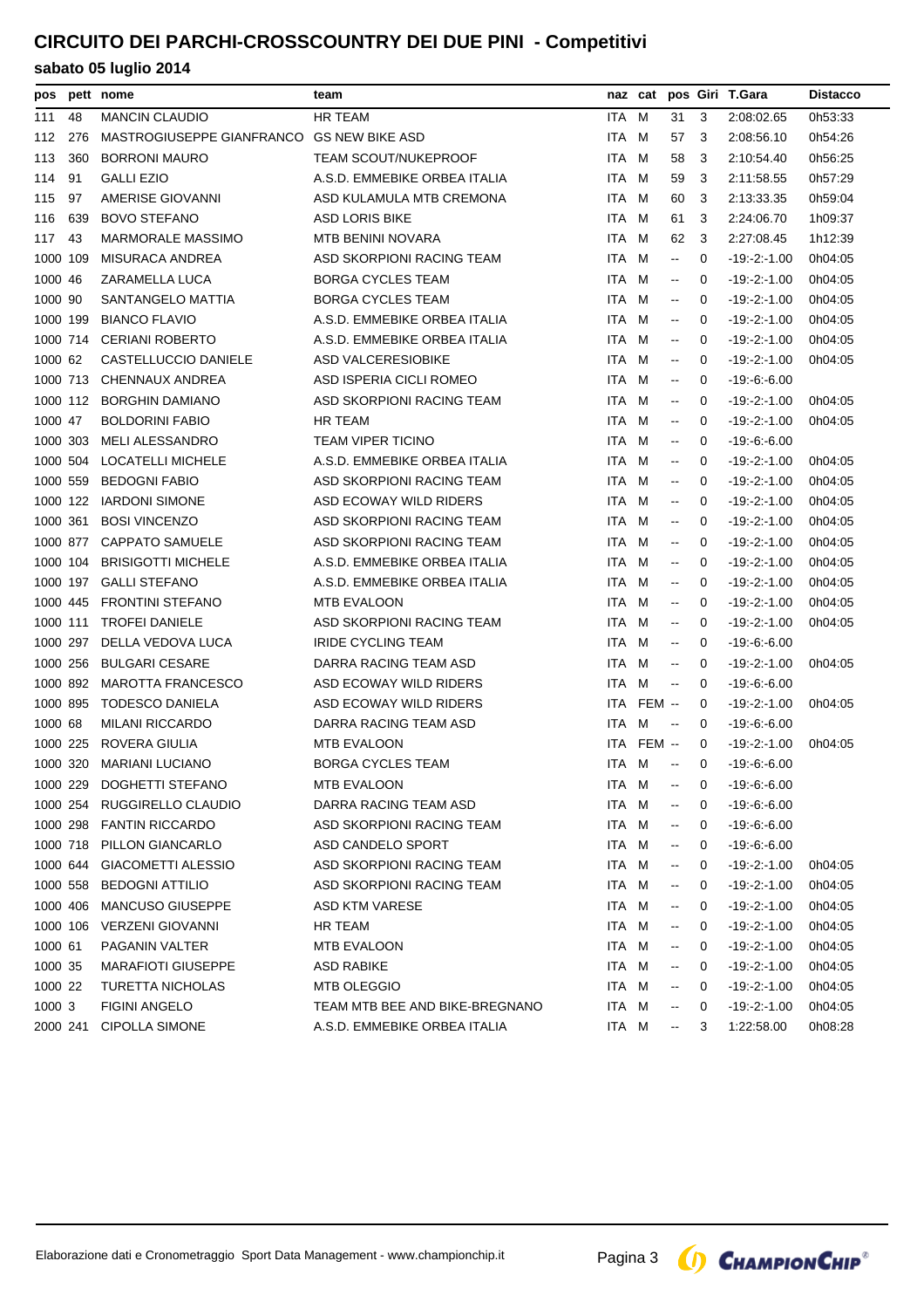# **CIRCUITO DEI PARCHI-CROSSCOUNTRY DEI DUE PINI - Competitivi**

| pos      |     | pett nome                                 | team                           |            | naz cat    |                                               |              | pos Giri T.Gara  | <b>Distacco</b> |
|----------|-----|-------------------------------------------|--------------------------------|------------|------------|-----------------------------------------------|--------------|------------------|-----------------|
| 111      | 48  | <b>MANCIN CLAUDIO</b>                     | HR TEAM                        | ITA        | M          | 31                                            | 3            | 2:08:02.65       | 0h53:33         |
| 112      | 276 | MASTROGIUSEPPE GIANFRANCO GS NEW BIKE ASD |                                | ITA        | M          | 57                                            | 3            | 2:08:56.10       | 0h54:26         |
| 113      | 360 | <b>BORRONI MAURO</b>                      | <b>TEAM SCOUT/NUKEPROOF</b>    | ITA.       | M          | 58                                            | 3            | 2:10:54.40       | 0h56:25         |
| 114      | 91  | <b>GALLI EZIO</b>                         | A.S.D. EMMEBIKE ORBEA ITALIA   | ITA        | M          | 59                                            | 3            | 2:11:58.55       | 0h57:29         |
| 115      | 97  | AMERISE GIOVANNI                          | ASD KULAMULA MTB CREMONA       | ITA        | M          | 60                                            | 3            | 2:13:33.35       | 0h59:04         |
| 116      | 639 | <b>BOVO STEFANO</b>                       | <b>ASD LORIS BIKE</b>          | ITA M      |            | 61                                            | 3            | 2:24:06.70       | 1h09:37         |
| 117      | 43  | MARMORALE MASSIMO                         | MTB BENINI NOVARA              | ITA        | M          | 62                                            | 3            | 2:27:08.45       | 1h12:39         |
| 1000 109 |     | <b>MISURACA ANDREA</b>                    | ASD SKORPIONI RACING TEAM      | ITA        | M          | $\mathord{\hspace{1pt}\text{--}\hspace{1pt}}$ | 0            | $-19 - 2 - 1.00$ | 0h04:05         |
| 1000 46  |     | ZARAMELLA LUCA                            | <b>BORGA CYCLES TEAM</b>       | <b>ITA</b> | M          | $\overline{\phantom{a}}$                      | 0            | $-19: -2: -1.00$ | 0h04:05         |
| 1000     | 90  | SANTANGELO MATTIA                         | <b>BORGA CYCLES TEAM</b>       | <b>ITA</b> | M          | $\mathord{\hspace{1pt}\text{--}\hspace{1pt}}$ | 0            | $-19 - 2 - 1.00$ | 0h04:05         |
| 1000 199 |     | <b>BIANCO FLAVIO</b>                      | A.S.D. EMMEBIKE ORBEA ITALIA   | ITA        | M          | $\sim$                                        | 0            | $-19 - 2 - 1.00$ | 0h04:05         |
| 1000 714 |     | <b>CERIANI ROBERTO</b>                    | A.S.D. EMMEBIKE ORBEA ITALIA   | ITA.       | M          | $\overline{\phantom{a}}$                      | $\Omega$     | $-19 - 2 - 1.00$ | 0h04:05         |
| 1000 62  |     | CASTELLUCCIO DANIELE                      | ASD VALCERESIOBIKE             | ITA        | M          | $\mathbf{H}$                                  | 0            | $-19: -2: -1.00$ | 0h04:05         |
| 1000 713 |     | CHENNAUX ANDREA                           | ASD ISPERIA CICLI ROMEO        | ITA        | M          | $\overline{\phantom{a}}$                      | $\Omega$     | $-19.6 - 6.00$   |                 |
| 1000 112 |     | <b>BORGHIN DAMIANO</b>                    | ASD SKORPIONI RACING TEAM      | ITA.       | M          | $\overline{\phantom{a}}$                      | $\Omega$     | $-19 - 2 - 1.00$ | 0h04:05         |
| 1000 47  |     | <b>BOLDORINI FABIO</b>                    | HR TEAM                        | ITA        | м          | $\overline{\phantom{a}}$                      | $\Omega$     | $-19 - 2 - 1.00$ | 0h04:05         |
| 1000 303 |     | <b>MELI ALESSANDRO</b>                    | <b>TEAM VIPER TICINO</b>       | ITA        | M          | $\mathbf{H}$                                  | 0            | $-19 - 6 - 6.00$ |                 |
| 1000 504 |     | <b>LOCATELLI MICHELE</b>                  | A.S.D. EMMEBIKE ORBEA ITALIA   | ITA        | M          | $\overline{\phantom{a}}$                      | 0            | $-19 - 2 - 1.00$ | 0h04:05         |
| 1000 559 |     | <b>BEDOGNI FABIO</b>                      | ASD SKORPIONI RACING TEAM      | ITA M      |            | $\overline{\phantom{a}}$                      | 0            | $-19 - 2 - 1.00$ | 0h04:05         |
| 1000 122 |     | <b>IARDONI SIMONE</b>                     | ASD ECOWAY WILD RIDERS         | ITA        | M          | $\overline{\phantom{a}}$                      | 0            | $-19 - 2 - 1.00$ | 0h04:05         |
| 1000 361 |     | <b>BOSI VINCENZO</b>                      | ASD SKORPIONI RACING TEAM      | ITA.       | M          | $\overline{\phantom{a}}$                      | 0            | $-19 - 2 - 1.00$ | 0h04:05         |
| 1000 877 |     | <b>CAPPATO SAMUELE</b>                    | ASD SKORPIONI RACING TEAM      | ITA        | M          | $\mathord{\hspace{1pt}\text{--}\hspace{1pt}}$ | 0            | $-19 - 2 - 1.00$ | 0h04:05         |
| 1000 104 |     | <b>BRISIGOTTI MICHELE</b>                 | A.S.D. EMMEBIKE ORBEA ITALIA   | ITA        | M          | $\sim$                                        | 0            | $-19 - 2 - 1.00$ | 0h04:05         |
| 1000 197 |     | <b>GALLI STEFANO</b>                      | A.S.D. EMMEBIKE ORBEA ITALIA   | ITA.       | M          | $\overline{\phantom{a}}$                      | 0            | $-19 - 2 - 1.00$ | 0h04:05         |
| 1000 445 |     | <b>FRONTINI STEFANO</b>                   | <b>MTB EVALOON</b>             | ITA        | M          | $\overline{\phantom{a}}$                      | 0            | $-19 - 2 - 1.00$ | 0h04:05         |
| 1000 111 |     | <b>TROFEI DANIELE</b>                     | ASD SKORPIONI RACING TEAM      | ITA        | M          | $\overline{\phantom{a}}$                      | $\Omega$     | $-19:2:1.00$     | 0h04:05         |
| 1000 297 |     | DELLA VEDOVA LUCA                         | <b>IRIDE CYCLING TEAM</b>      | ITA        | M          | $\overline{\phantom{a}}$                      | 0            | $-19.6 - 6.00$   |                 |
| 1000 256 |     | <b>BULGARI CESARE</b>                     | DARRA RACING TEAM ASD          | ITA        | M          | $\mathbf{H}$                                  | 0            | $-19 - 2 - 1.00$ | 0h04:05         |
| 1000 892 |     | <b>MAROTTA FRANCESCO</b>                  | ASD ECOWAY WILD RIDERS         | ITA M      |            | $\overline{\phantom{a}}$                      | 0            | $-19 - 6 - 6.00$ |                 |
| 1000 895 |     | <b>TODESCO DANIELA</b>                    | ASD ECOWAY WILD RIDERS         | ITA        | FEM --     |                                               | 0            | $-19 - 2 - 1.00$ | 0h04:05         |
| 1000 68  |     | <b>MILANI RICCARDO</b>                    | DARRA RACING TEAM ASD          | ITA        | M          | $\overline{\phantom{a}}$                      | 0            | $-19.6 - 6.00$   |                 |
| 1000 225 |     | ROVERA GIULIA                             | MTB EVALOON                    |            | ITA FEM -- |                                               | 0            | $-19 - 2 - 1.00$ | 0h04:05         |
| 1000 320 |     | <b>MARIANI LUCIANO</b>                    | <b>BORGA CYCLES TEAM</b>       | ITA M      |            | $\mathord{\hspace{1pt}\text{--}\hspace{1pt}}$ | $\mathbf 0$  | $-19.6 - 6.00$   |                 |
|          |     | 1000 229 DOGHETTI STEFANO                 | MTB EVALOON                    |            | ITA M      |                                               | $\mathbf{0}$ | -19:-6:-6.00     |                 |
|          |     | 1000 254 RUGGIRELLO CLAUDIO               | DARRA RACING TEAM ASD          | ITA M      |            | --                                            | 0            | $-19:6.600$      |                 |
|          |     | 1000 298 FANTIN RICCARDO                  | ASD SKORPIONI RACING TEAM      | ITA M      |            | $\overline{\phantom{a}}$                      | 0            | $-19:-6:-6.00$   |                 |
|          |     | 1000 718 PILLON GIANCARLO                 | ASD CANDELO SPORT              | ITA M      |            | $\overline{\phantom{a}}$                      | 0            | $-19: -6: -6.00$ |                 |
| 1000 644 |     | <b>GIACOMETTI ALESSIO</b>                 | ASD SKORPIONI RACING TEAM      | ITA M      |            | --                                            | 0            | $-19:2:1.00$     | 0h04:05         |
| 1000 558 |     | <b>BEDOGNI ATTILIO</b>                    | ASD SKORPIONI RACING TEAM      | ITA M      |            | ⊷                                             | 0            | $-19: -2: -1.00$ | 0h04:05         |
| 1000 406 |     | <b>MANCUSO GIUSEPPE</b>                   | ASD KTM VARESE                 | ITA M      |            | --                                            | 0            | $-19: -2: -1.00$ | 0h04:05         |
| 1000 106 |     | <b>VERZENI GIOVANNI</b>                   | HR TEAM                        | ITA M      |            | --                                            | 0            | $-19 - 2 - 1.00$ | 0h04:05         |
| 1000 61  |     | PAGANIN VALTER                            | MTB EVALOON                    | ITA M      |            | --                                            | 0            | $-19:-2:-1.00$   | 0h04:05         |
| 1000 35  |     | <b>MARAFIOTI GIUSEPPE</b>                 | ASD RABIKE                     | ITA M      |            | --                                            | 0            | $-19: -2: -1.00$ | 0h04:05         |
| 1000 22  |     | TURETTA NICHOLAS                          | <b>MTB OLEGGIO</b>             | ITA M      |            | --                                            | 0            | $-19: -2: -1.00$ | 0h04:05         |
| 1000 3   |     | <b>FIGINI ANGELO</b>                      | TEAM MTB BEE AND BIKE-BREGNANO | ITA M      |            | --                                            | 0            | $-19: -2: -1.00$ | 0h04:05         |
| 2000 241 |     | <b>CIPOLLA SIMONE</b>                     | A.S.D. EMMEBIKE ORBEA ITALIA   | ITA M      |            | $\sim$                                        | 3            | 1:22:58.00       | 0h08:28         |

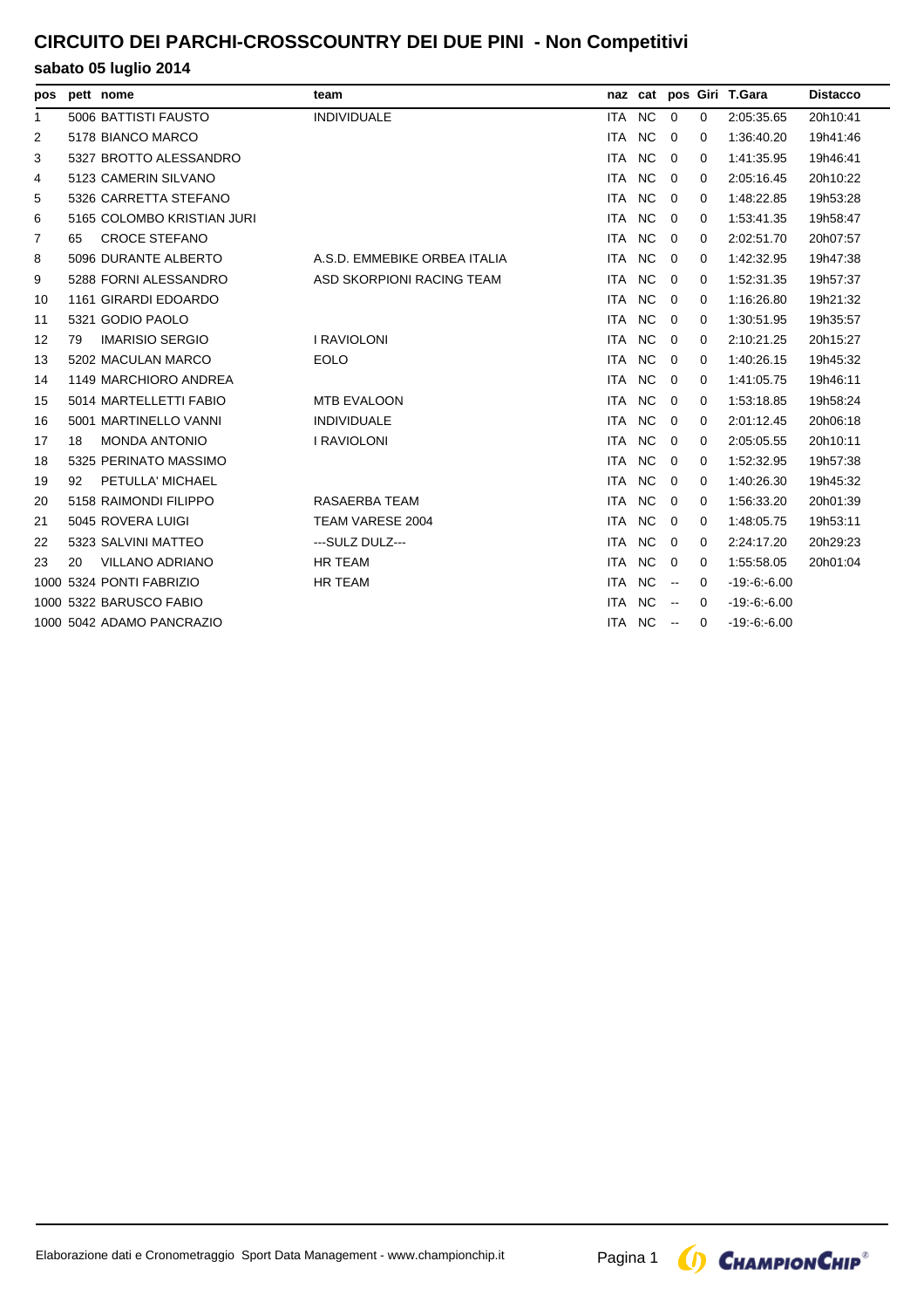## **CIRCUITO DEI PARCHI-CROSSCOUNTRY DEI DUE PINI - Non Competitivi**

| pos          |    | pett nome                  | team                         |            |                |                |             | naz cat pos Giri T.Gara | <b>Distacco</b> |
|--------------|----|----------------------------|------------------------------|------------|----------------|----------------|-------------|-------------------------|-----------------|
| $\mathbf{1}$ |    | 5006 BATTISTI FAUSTO       | <b>INDIVIDUALE</b>           | ITA NC     |                | $\mathbf 0$    | $\mathbf 0$ | 2:05:35.65              | 20h10:41        |
| 2            |    | 5178 BIANCO MARCO          |                              | ITA NC     |                | $\Omega$       | $\Omega$    | 1:36:40.20              | 19h41:46        |
| 3            |    | 5327 BROTTO ALESSANDRO     |                              | <b>ITA</b> | N <sub>C</sub> | $\Omega$       | $\Omega$    | 1:41:35.95              | 19h46:41        |
| 4            |    | 5123 CAMERIN SILVANO       |                              | ITA        | NC             | $\mathbf 0$    | 0           | 2:05:16.45              | 20h10:22        |
| 5            |    | 5326 CARRETTA STEFANO      |                              | ITA        | <b>NC</b>      | 0              | 0           | 1:48:22.85              | 19h53:28        |
| 6            |    | 5165 COLOMBO KRISTIAN JURI |                              | ITA NC     |                | $\mathbf 0$    | $\Omega$    | 1:53:41.35              | 19h58:47        |
| 7            | 65 | <b>CROCE STEFANO</b>       |                              | ITA        | NC             | $\overline{0}$ | 0           | 2:02:51.70              | 20h07:57        |
| 8            |    | 5096 DURANTE ALBERTO       | A.S.D. EMMEBIKE ORBEA ITALIA | ITA.       | <b>NC</b>      | 0              | 0           | 1:42:32.95              | 19h47:38        |
| 9            |    | 5288 FORNI ALESSANDRO      | ASD SKORPIONI RACING TEAM    | ITA        | <b>NC</b>      | $\mathbf 0$    | 0           | 1:52:31.35              | 19h57:37        |
| 10           |    | 1161 GIRARDI EDOARDO       |                              | ITA NC     |                | $\Omega$       | $\Omega$    | 1:16:26.80              | 19h21:32        |
| 11           |    | 5321 GODIO PAOLO           |                              | <b>ITA</b> | NC.            | 0              | $\Omega$    | 1:30:51.95              | 19h35:57        |
| 12           | 79 | <b>IMARISIO SERGIO</b>     | <b>I RAVIOLONI</b>           | ITA.       | NC.            | $\mathbf 0$    | $\Omega$    | 2:10:21.25              | 20h15:27        |
| 13           |    | 5202 MACULAN MARCO         | <b>EOLO</b>                  | ITA        | <b>NC</b>      | $\mathbf 0$    | 0           | 1:40:26.15              | 19h45:32        |
| 14           |    | 1149 MARCHIORO ANDREA      |                              | ITA NC     |                | 0              | 0           | 1:41:05.75              | 19h46:11        |
| 15           |    | 5014 MARTELLETTI FABIO     | <b>MTB EVALOON</b>           | ITA NC     |                | $\overline{0}$ | $\Omega$    | 1:53:18.85              | 19h58:24        |
| 16           |    | 5001 MARTINELLO VANNI      | <b>INDIVIDUALE</b>           | <b>ITA</b> | N <sub>C</sub> | 0              | 0           | 2:01:12.45              | 20h06:18        |
| 17           | 18 | <b>MONDA ANTONIO</b>       | <b>I RAVIOLONI</b>           | ITA        | NC             | $\mathbf 0$    | 0           | 2:05:05.55              | 20h10:11        |
| 18           |    | 5325 PERINATO MASSIMO      |                              | ITA NC     |                | $\mathbf 0$    | 0           | 1:52:32.95              | 19h57:38        |
| 19           | 92 | PETULLA' MICHAEL           |                              | ITA NC     |                | $\Omega$       | $\Omega$    | 1:40:26.30              | 19h45:32        |
| 20           |    | 5158 RAIMONDI FILIPPO      | RASAERBA TEAM                | ITA.       | NC.            | $\overline{0}$ | 0           | 1:56:33.20              | 20h01:39        |
| 21           |    | 5045 ROVERA LUIGI          | TEAM VARESE 2004             | <b>ITA</b> | <b>NC</b>      | 0              | $\Omega$    | 1:48:05.75              | 19h53:11        |
| 22           |    | 5323 SALVINI MATTEO        | ---SULZ DULZ---              | ITA NC     |                | 0              | 0           | 2:24:17.20              | 20h29:23        |
| 23           | 20 | <b>VILLANO ADRIANO</b>     | <b>HR TEAM</b>               | ITA NC     |                | $\overline{0}$ | $\Omega$    | 1:55:58.05              | 20h01:04        |
| 1000         |    | 5324 PONTI FABRIZIO        | <b>HR TEAM</b>               | <b>ITA</b> | NC             | $\sim$         | 0           | $-19:6.600$             |                 |
|              |    | 1000 5322 BARUSCO FABIO    |                              | ITA NC     |                | $\mathbf{H}$   | $\Omega$    | $-19,-6,-6.00$          |                 |
|              |    | 1000 5042 ADAMO PANCRAZIO  |                              |            | ITA NC --      |                | $\Omega$    | $-19 - 6 - 6.00$        |                 |